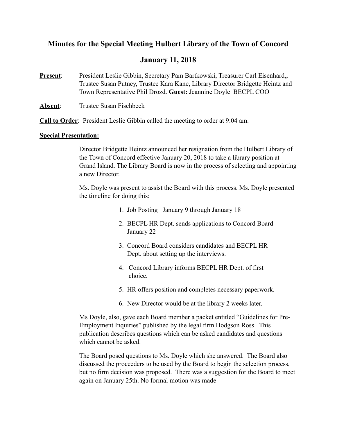# **Minutes for the Special Meeting Hulbert Library of the Town of Concord**

# **January 11, 2018**

- **Present:** President Leslie Gibbin, Secretary Pam Bartkowski, Treasurer Carl Eisenhard,, Trustee Susan Putney, Trustee Kara Kane, Library Director Bridgette Heintz and Town Representative Phil Drozd. **Guest:** Jeannine Doyle BECPL COO
- **Absent**: Trustee Susan Fischbeck

**Call to Order**: President Leslie Gibbin called the meeting to order at 9:04 am.

#### **Special Presentation:**

 Director Bridgette Heintz announced her resignation from the Hulbert Library of the Town of Concord effective January 20, 2018 to take a library position at Grand Island. The Library Board is now in the process of selecting and appointing a new Director.

 Ms. Doyle was present to assist the Board with this process. Ms. Doyle presented the timeline for doing this:

- 1. Job Posting January 9 through January 18
- 2. BECPL HR Dept. sends applications to Concord Board January 22
- 3. Concord Board considers candidates and BECPL HR Dept. about setting up the interviews.
- 4. Concord Library informs BECPL HR Dept. of first choice.
- 5. HR offers position and completes necessary paperwork.
- 6. New Director would be at the library 2 weeks later.

 Ms Doyle, also, gave each Board member a packet entitled "Guidelines for Pre-Employment Inquiries" published by the legal firm Hodgson Ross. This publication describes questions which can be asked candidates and questions which cannot be asked.

 The Board posed questions to Ms. Doyle which she answered. The Board also discussed the proceeders to be used by the Board to begin the selection process, but no firm decision was proposed. There was a suggestion for the Board to meet again on January 25th. No formal motion was made